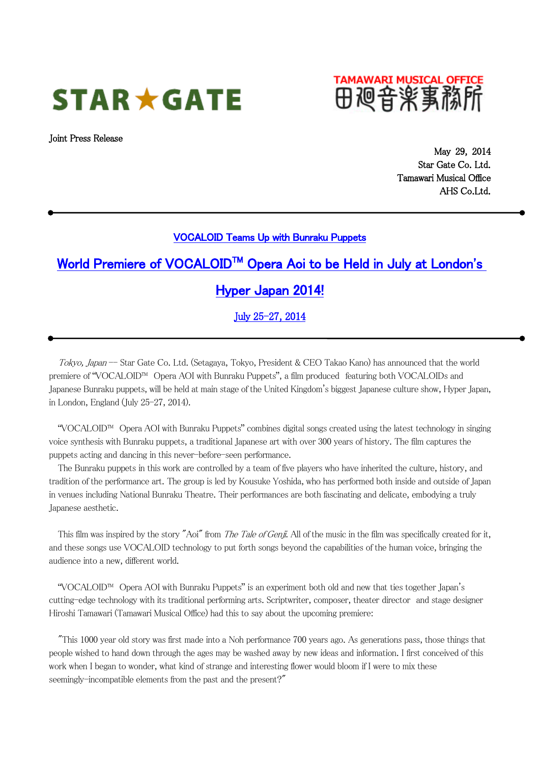# $STAR \star GATE$

Joint Press Release

田廻音楽事務所

May 29, 2014 Star Gate Co. Ltd. Tamawari Musical Office AHS Co.Ltd.

#### VOCALOID Teams Up with Bunraku Puppets

## World Premiere of VOCALOID™ Opera Aoi to be Held in July at London's

### Hyper Japan 2014!

July 25-27, 2014

Tokyo, Japan -- Star Gate Co. Ltd. (Setagaya, Tokyo, President & CEO Takao Kano) has announced that the world premiere of "VOCALOID™ Opera AOI with Bunraku Puppets", a film produced featuring both VOCALOIDs and Japanese Bunraku puppets, will be held at main stage of the United Kingdom's biggest Japanese culture show, Hyper Japan, in London, England (July 25-27, 2014).

"VOCALOID™ Opera AOI with Bunraku Puppets" combines digital songs created using the latest technology in singing voice synthesis with Bunraku puppets, a traditional Japanese art with over 300 years of history. The film captures the puppets acting and dancing in this never-before-seen performance.

The Bunraku puppets in this work are controlled by a team of five players who have inherited the culture, history, and tradition of the performance art. The group is led by Kousuke Yoshida, who has performed both inside and outside of Japan in venues including National Bunraku Theatre. Their performances are both fascinating and delicate, embodying a truly Japanese aesthetic.

This film was inspired by the story "Aoi" from *The Tale of Genji*. All of the music in the film was specifically created for it, and these songs use VOCALOID technology to put forth songs beyond the capabilities of the human voice, bringing the audience into a new, different world.

"VOCALOID™ Opera AOI with Bunraku Puppets" is an experiment both old and new that ties together Japan's cutting-edge technology with its traditional performing arts. Scriptwriter, composer, theater director and stage designer Hiroshi Tamawari (Tamawari Musical Office) had this to say about the upcoming premiere:

"This 1000 year old story was first made into a Noh performance 700 years ago. As generations pass, those things that people wished to hand down through the ages may be washed away by new ideas and information. I first conceived of this work when I began to wonder, what kind of strange and interesting flower would bloom if I were to mix these seemingly-incompatible elements from the past and the present?"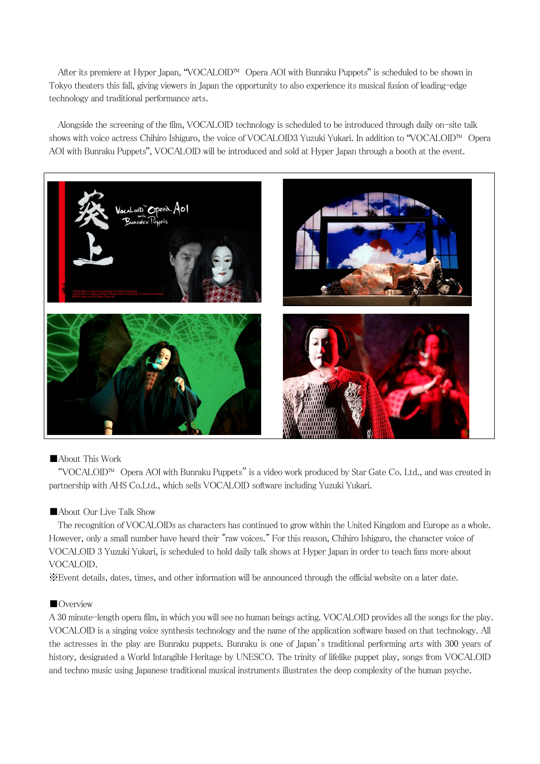After its premiere at Hyper Japan, "VOCALOID™ Opera AOI with Bunraku Puppets" is scheduled to be shown in Tokyo theaters this fall, giving viewers in Japan the opportunity to also experience its musical fusion of leading-edge technology and traditional performance arts.

Alongside the screening of the film, VOCALOID technology is scheduled to be introduced through daily on-site talk shows with voice actress Chihiro Ishiguro, the voice of VOCALOID3 Yuzuki Yukari. In addition to "VOCALOID™ Opera AOI with Bunraku Puppets", VOCALOID will be introduced and sold at Hyper Japan through a booth at the event.



#### ■About This Work

"VOCALOID™ Opera AOI with Bunraku Puppets" is a video work produced by Star Gate Co. Ltd., and was created in partnership with AHS Co.Ltd., which sells VOCALOID software including Yuzuki Yukari.

#### ■About Our Live Talk Show

The recognition of VOCALOIDs as characters has continued to grow within the United Kingdom and Europe as a whole. However, only a small number have heard their "raw voices." For this reason, Chihiro Ishiguro, the character voice of VOCALOID 3 Yuzuki Yukari, is scheduled to hold daily talk shows at Hyper Japan in order to teach fans more about VOCALOID.

※Event details, dates, times, and other information will be announced through the official website on a later date.

#### ■Overview

A 30 minute-length opera film, in which you will see no human beings acting. VOCALOID provides all the songs for the play. VOCALOID is a singing voice synthesis technology and the name of the application software based on that technology. All the actresses in the play are Bunraku puppets. Bunraku is one of Japan's traditional performing arts with 300 years of history, designated a World Intangible Heritage by UNESCO. The trinity of lifelike puppet play, songs from VOCALOID and techno music using Japanese traditional musical instruments illustrates the deep complexity of the human psyche.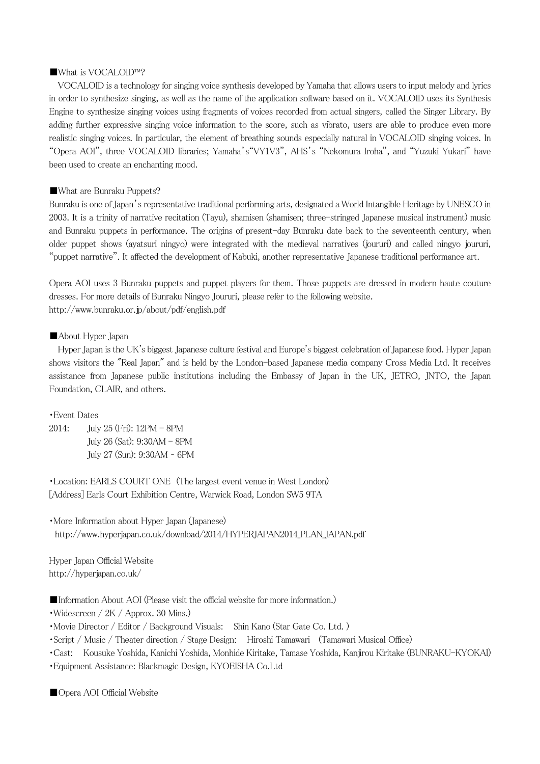#### ■What is VOCALOID™?

VOCALOID is a technology for singing voice synthesis developed by Yamaha that allows users to input melody and lyrics in order to synthesize singing, as well as the name of the application software based on it. VOCALOID uses its Synthesis Engine to synthesize singing voices using fragments of voices recorded from actual singers, called the Singer Library. By adding further expressive singing voice information to the score, such as vibrato, users are able to produce even more realistic singing voices. In particular, the element of breathing sounds especially natural in VOCALOID singing voices. In "Opera AOI", three VOCALOID libraries; Yamaha's"VY1V3", AHS's "Nekomura Iroha", and "Yuzuki Yukari" have been used to create an enchanting mood.

#### ■What are Bunraku Puppets?

Bunraku is one of Japan's representative traditional performing arts, designated a World Intangible Heritage by UNESCO in 2003. It is a trinity of narrative recitation (Tayu), shamisen (shamisen; three-stringed Japanese musical instrument) music and Bunraku puppets in performance. The origins of present-day Bunraku date back to the seventeenth century, when older puppet shows (ayatsuri ningyo) were integrated with the medieval narratives (joururi) and called ningyo joururi, "puppet narrative". It affected the development of Kabuki, another representative Japanese traditional performance art.

Opera AOI uses 3 Bunraku puppets and puppet players for them. Those puppets are dressed in modern haute couture dresses. For more details of Bunraku Ningyo Joururi, please refer to the following website. http://www.bunraku.or.jp/about/pdf/english.pdf

#### ■About Hyper Japan

Hyper Japan is the UK's biggest Japanese culture festival and Europe's biggest celebration of Japanese food. Hyper Japan shows visitors the "Real Japan" and is held by the London-based Japanese media company Cross Media Ltd. It receives assistance from Japanese public institutions including the Embassy of Japan in the UK, JETRO, JNTO, the Japan Foundation, CLAIR, and others.

#### ・Event Dates

2014: July 25 (Fri): 12PM - 8PM July 26 (Sat): 9:30AM - 8PM July 27 (Sun): 9:30AM – 6PM

・Location: EARLS COURT ONE (The largest event venue in West London) [Address] Earls Court Exhibition Centre, Warwick Road, London SW5 9TA

・More Information about Hyper Japan (Japanese) http://www.hyperjapan.co.uk/download/2014/HYPERJAPAN2014\_PLAN\_JAPAN.pdf

Hyper Japan Official Website http://hyperjapan.co.uk/

■Information About AOI (Please visit the official website for more information.)

・Widescreen / 2K / Approx. 30 Mins.)

・Movie Director / Editor / Background Visuals: Shin Kano (Star Gate Co. Ltd. )

・Script / Music / Theater direction / Stage Design: Hiroshi Tamawari (Tamawari Musical Office)

・Cast: Kousuke Yoshida, Kanichi Yoshida, Monhide Kiritake, Tamase Yoshida, Kanjirou Kiritake (BUNRAKU-KYOKAI)

・Equipment Assistance: Blackmagic Design, KYOEISHA Co.Ltd

■Opera AOI Official Website